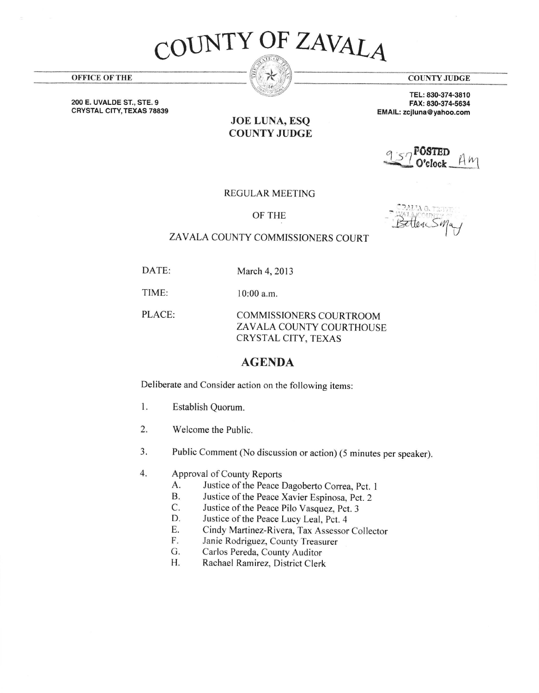## OUNTY OF ZAVALAT

JOE LUNA, ESQ COUNTY JUDGE

**COUNTY JUDGE** 

TEL: 830-374-3810 FAX: 830-374-5634 EMAIL: zcjluna@yahoo.com

## 957 POSTED AM

REGULAR MEETTNG

OF THE

Bettenson

## ZAVALA COUNTY COMMISSIONERS COURT

DATE: March 4, 2013

TIME:

l0:00 a.m.

PLACE: COMMISSIONERS COURTROOM ZAVALA COUNTY COURTHOUSE CRYSTAL CITY, TEXAS

## AGENDA

Deliberate and Consider action on the following items:

- 1. Establish Quorum.
- 2. Welcome the Public.
- Public Comment (No discussion or action) (5 minutes per speaker). a J.
- Approval of County Reports 4.
	- A. Justice of the Peace Dagoberto Correa, Pct. 1<br>B. Justice of the Peace Xavier Espinosa Pct 2
	- B. Justice of the Peace Xavier Espinosa, Pct. 2<br>C. Justice of the Peace Pilo Vasquez Pct 3
	- C. Justice of the Peace Pilo Vasquez, Pct. 3<br>D. Justice of the Peace Lucy Leal Pct. 4
	- Justice of the Peace Lucy Leal, Pct. 4
	- E. Cindy Martinez-Rivera, Tax Assessor Collector<br>F. Janie Rodriguez, County Treasurer
	- F. Janie Rodriguez, County Treasurer<br>G. Carlos Pereda. County Auditor
	- Carlos Pereda, County Auditor
	- H. Rachael Ramirez. District Clerk

OFFICE OFTHE

2OO E. UVALDE ST., STE.9 CRYSTAL CITY, TEXAS 78839